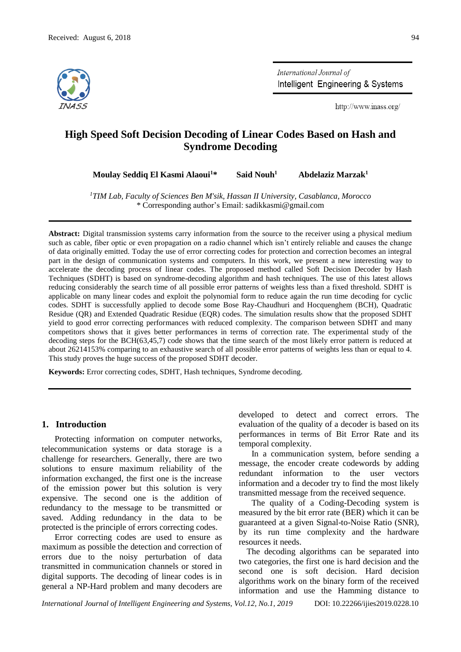

International Journal of Intelligent Engineering & Systems

http://www.inass.org/

# **High Speed Soft Decision Decoding of Linear Codes Based on Hash and Syndrome Decoding**

**Moulay Seddiq El Kasmi Alaoui<sup>1</sup>\* Said Nouh<sup>1</sup> Abdelaziz Marzak<sup>1</sup>**

*<sup>1</sup>TIM Lab, Faculty of Sciences Ben M'sik, Hassan II University, Casablanca, Morocco* \* Corresponding author's Email: sadikkasmi@gmail.com

**Abstract:** Digital transmission systems carry information from the source to the receiver using a physical medium such as cable, fiber optic or even propagation on a radio channel which isn't entirely reliable and causes the change of data originally emitted. Today the use of error correcting codes for protection and correction becomes an integral part in the design of communication systems and computers. In this work, we present a new interesting way to accelerate the decoding process of linear codes. The proposed method called Soft Decision Decoder by Hash Techniques (SDHT) is based on syndrome-decoding algorithm and hash techniques. The use of this latest allows reducing considerably the search time of all possible error patterns of weights less than a fixed threshold. SDHT is applicable on many linear codes and exploit the polynomial form to reduce again the run time decoding for cyclic codes. SDHT is successfully applied to decode some Bose Ray-Chaudhuri and Hocquenghem (BCH), Quadratic Residue (QR) and Extended Quadratic Residue (EQR) codes. The simulation results show that the proposed SDHT yield to good error correcting performances with reduced complexity. The comparison between SDHT and many competitors shows that it gives better performances in terms of correction rate. The experimental study of the decoding steps for the BCH(63,45,7) code shows that the time search of the most likely error pattern is reduced at about 26214153% comparing to an exhaustive search of all possible error patterns of weights less than or equal to 4. This study proves the huge success of the proposed SDHT decoder.

**Keywords:** Error correcting codes, SDHT, Hash techniques, Syndrome decoding.

#### **1. Introduction**

Protecting information on computer networks, telecommunication systems or data storage is a challenge for researchers. Generally, there are two solutions to ensure maximum reliability of the information exchanged, the first one is the increase of the emission power but this solution is very expensive. The second one is the addition of redundancy to the message to be transmitted or saved. Adding redundancy in the data to be protected is the principle of errors correcting codes.

Error correcting codes are used to ensure as maximum as possible the detection and correction of errors due to the noisy perturbation of data transmitted in communication channels or stored in digital supports. The decoding of linear codes is in general a NP-Hard problem and many decoders are developed to detect and correct errors. The evaluation of the quality of a decoder is based on its performances in terms of Bit Error Rate and its temporal complexity.

In a communication system, before sending a message, the encoder create codewords by adding redundant information to the user vectors information and a decoder try to find the most likely transmitted message from the received sequence.

The quality of a Coding-Decoding system is measured by the bit error rate (BER) which it can be guaranteed at a given Signal-to-Noise Ratio (SNR), by its run time complexity and the hardware resources it needs.

The decoding algorithms can be separated into two categories, the first one is hard decision and the second one is soft decision. Hard decision algorithms work on the binary form of the received information and use the Hamming distance to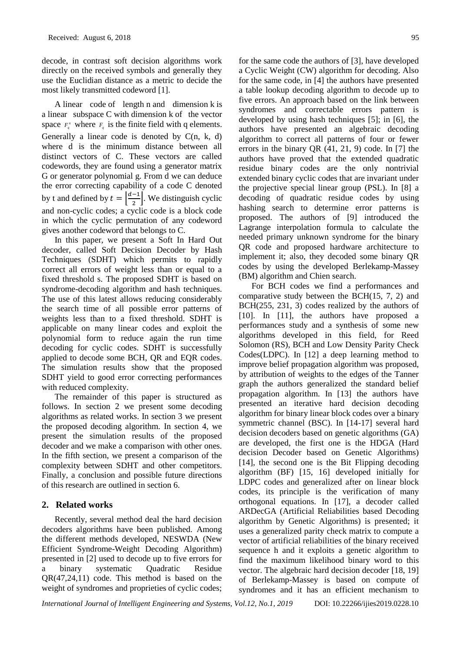decode, in contrast soft decision algorithms work directly on the received symbols and generally they use the Euclidian distance as a metric to decide the most likely transmitted codeword [1].

A linear code of length n and dimension k is a linear subspace C with dimension k of the vector space  $F_q$ <sup>m</sup> where  $F_q$  is the finite field with q elements. Generally a linear code is denoted by  $C(n, k, d)$ where d is the minimum distance between all distinct vectors of C. These vectors are called codewords, they are found using a generator matrix G or generator polynomial g. From d we can deduce the error correcting capability of a code C denoted by t and defined by  $t = \left| \frac{d-1}{2} \right|$  $\frac{1}{2}$ . We distinguish cyclic and non-cyclic codes; a cyclic code is a block code in which the cyclic permutation of any codeword gives another codeword that belongs to C.

In this paper, we present a Soft In Hard Out decoder, called Soft Decision Decoder by Hash Techniques (SDHT) which permits to rapidly correct all errors of weight less than or equal to a fixed threshold s. The proposed SDHT is based on syndrome-decoding algorithm and hash techniques. The use of this latest allows reducing considerably the search time of all possible error patterns of weights less than to a fixed threshold. SDHT is applicable on many linear codes and exploit the polynomial form to reduce again the run time decoding for cyclic codes. SDHT is successfully applied to decode some BCH, QR and EQR codes. The simulation results show that the proposed SDHT yield to good error correcting performances with reduced complexity.

The remainder of this paper is structured as follows. In section 2 we present some decoding algorithms as related works. In section 3 we present the proposed decoding algorithm. In section 4, we present the simulation results of the proposed decoder and we make a comparison with other ones. In the fifth section, we present a comparison of the complexity between SDHT and other competitors. Finally, a conclusion and possible future directions of this research are outlined in section 6.

# **2. Related works**

Recently, several method deal the hard decision decoders algorithms have been published. Among the different methods developed, NESWDA (New Efficient Syndrome-Weight Decoding Algorithm) presented in [2] used to decode up to five errors for a binary systematic Quadratic Residue QR(47,24,11) code. This method is based on the weight of syndromes and proprieties of cyclic codes;

for the same code the authors of [3], have developed a Cyclic Weight (CW) algorithm for decoding. Also for the same code, in [4] the authors have presented a table lookup decoding algorithm to decode up to five errors. An approach based on the link between syndromes and correctable errors pattern is developed by using hash techniques [5]; in [6], the authors have presented an algebraic decoding algorithm to correct all patterns of four or fewer errors in the binary QR (41, 21, 9) code. In [7] the authors have proved that the extended quadratic residue binary codes are the only nontrivial extended binary cyclic codes that are invariant under the projective special linear group (PSL). In [8] a decoding of quadratic residue codes by using hashing search to determine error patterns is proposed. The authors of [9] introduced the Lagrange interpolation formula to calculate the needed primary unknown syndrome for the binary QR code and proposed hardware architecture to implement it; also, they decoded some binary QR codes by using the developed Berlekamp-Massey (BM) algorithm and Chien search.

For BCH codes we find a performances and comparative study between the BCH(15, 7, 2) and BCH(255, 231, 3) codes realized by the authors of [10]. In [11], the authors have proposed a performances study and a synthesis of some new algorithms developed in this field, for Reed Solomon (RS), BCH and Low Density Parity Check Codes(LDPC). In [12] a deep learning method to improve belief propagation algorithm was proposed, by attribution of weights to the edges of the Tanner graph the authors generalized the standard belief propagation algorithm. In [13] the authors have presented an iterative hard decision decoding algorithm for binary linear block codes over a binary symmetric channel (BSC). In [14-17] several hard decision decoders based on genetic algorithms (GA) are developed, the first one is the HDGA (Hard decision Decoder based on Genetic Algorithms) [14], the second one is the Bit Flipping decoding algorithm (BF) [15, 16] developed initially for LDPC codes and generalized after on linear block codes, its principle is the verification of many orthogonal equations. In [17], a decoder called ARDecGA (Artificial Reliabilities based Decoding algorithm by Genetic Algorithms) is presented; it uses a generalized parity check matrix to compute a vector of artificial reliabilities of the binary received sequence h and it exploits a genetic algorithm to find the maximum likelihood binary word to this vector. The algebraic hard decision decoder [18, 19] of Berlekamp-Massey is based on compute of syndromes and it has an efficient mechanism to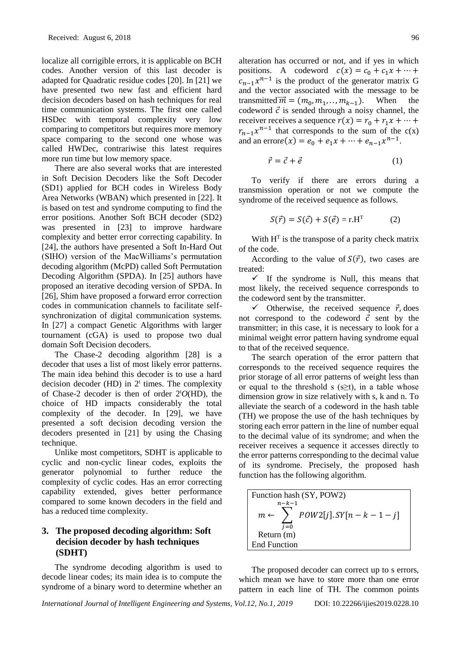localize all corrigible errors, it is applicable on BCH codes. Another version of this last decoder is adapted for Quadratic residue codes [20]. In [21] we have presented two new fast and efficient hard decision decoders based on hash techniques for real time communication systems. The first one called HSDec with temporal complexity very low comparing to competitors but requires more memory space comparing to the second one whose was called HWDec, contrariwise this latest requires more run time but low memory space.

There are also several works that are interested in Soft Decision Decoders like the Soft Decoder (SD1) applied for BCH codes in Wireless Body Area Networks (WBAN) which presented in [22]. It is based on test and syndrome computing to find the error positions. Another Soft BCH decoder (SD2) was presented in [23] to improve hardware complexity and better error correcting capability. In [24], the authors have presented a Soft In-Hard Out (SIHO) version of the MacWilliams's permutation decoding algorithm (McPD) called Soft Permutation Decoding Algorithm (SPDA). In [25] authors have proposed an iterative decoding version of SPDA. In [26], Shim have proposed a forward error correction codes in communication channels to facilitate selfsynchronization of digital communication systems. In [27] a compact Genetic Algorithms with larger tournament (cGA) is used to propose two dual domain Soft Decision decoders.

The Chase-2 decoding algorithm [28] is a decoder that uses a list of most likely error patterns. The main idea behind this decoder is to use a hard decision decoder (HD) in  $2<sup>t</sup>$  times. The complexity of Chase-2 decoder is then of order 2<sup>t</sup>*O*(HD), the choice of HD impacts considerably the total complexity of the decoder. In [29], we have presented a soft decision decoding version the decoders presented in [21] by using the Chasing technique.

Unlike most competitors, SDHT is applicable to cyclic and non-cyclic linear codes, exploits the generator polynomial to further reduce the complexity of cyclic codes. Has an error correcting capability extended, gives better performance compared to some known decoders in the field and has a reduced time complexity.

# **3. The proposed decoding algorithm: Soft decision decoder by hash techniques (SDHT)**

The syndrome decoding algorithm is used to decode linear codes; its main idea is to compute the syndrome of a binary word to determine whether an alteration has occurred or not, and if yes in which positions. A codeword  $c(x) = c_0 + c_1 x + \cdots$  $c_{n-1}x^{n-1}$  is the product of the generator matrix G and the vector associated with the message to be transmitted  $\vec{m} = (m_0, m_1, \dots, m_{k-1})$ . When the codeword  $\vec{c}$  is sended through a noisy channel, the receiver receives a sequence  $r(x) = r_0 + r_1 x + \cdots$  $r_{n-1}x^{n-1}$  that corresponds to the sum of the c(x) and an errore(x) =  $e_0 + e_1x + \dots + e_{n-1}x^{n-1}$ .

$$
\vec{r} = \vec{c} + \vec{e} \tag{1}
$$

To verify if there are errors during a transmission operation or not we compute the syndrome of the received sequence as follows.

$$
S(\vec{r}) = S(\vec{c}) + S(\vec{e}) = r.HT
$$
 (2)

With  $H<sup>T</sup>$  is the transpose of a parity check matrix of the code.

According to the value of  $S(\vec{r})$ , two cases are treated:

 $\checkmark$  If the syndrome is Null, this means that most likely, the received sequence corresponds to the codeword sent by the transmitter.

 $\checkmark$  Otherwise, the received sequence  $\vec{r}$ , does not correspond to the codeword  $\vec{c}$  sent by the transmitter; in this case, it is necessary to look for a minimal weight error pattern having syndrome equal to that of the received sequence.

The search operation of the error pattern that corresponds to the received sequence requires the prior storage of all error patterns of weight less than or equal to the threshold s  $(s \geq t)$ , in a table whose dimension grow in size relatively with s, k and n. To alleviate the search of a codeword in the hash table (TH) we propose the use of the hash techniques by storing each error pattern in the line of number equal to the decimal value of its syndrome; and when the receiver receives a sequence it accesses directly to the error patterns corresponding to the decimal value of its syndrome. Precisely, the proposed hash function has the following algorithm.

| Function hash (SY, POW2)                                      |  |  |  |
|---------------------------------------------------------------|--|--|--|
| $n-k-1$                                                       |  |  |  |
| $POW2[j].$ $SY[n-k-1-j]$<br>$m \leftarrow \ \rangle$<br>$i=0$ |  |  |  |
| Return (m)                                                    |  |  |  |
| End Function                                                  |  |  |  |

The proposed decoder can correct up to s errors, which mean we have to store more than one error pattern in each line of TH. The common points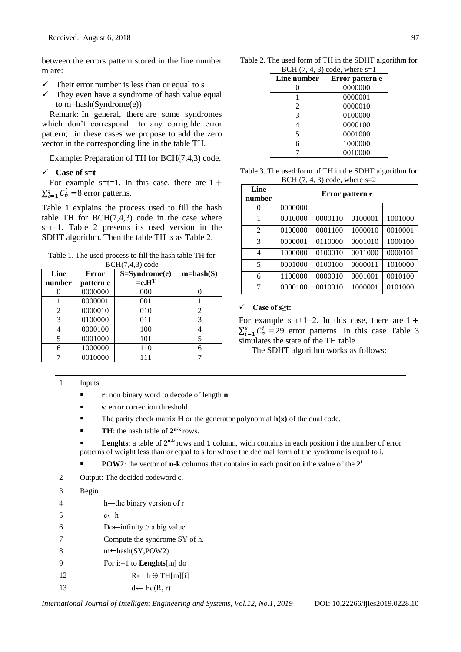between the errors pattern stored in the line number m are:

- $\checkmark$  Their error number is less than or equal to s
- $\checkmark$  They even have a syndrome of hash value equal to m=hash(Syndrome(e))

Remark: In general, there are some syndromes which don't correspond to any corrigible error pattern; in these cases we propose to add the zero vector in the corresponding line in the table TH.

Example: Preparation of TH for BCH(7,4,3) code.

# **Case of s=t**

For example s=t=1. In this case, there are  $1 +$  $\sum_{i=1}^{s} C_n^i = 8$  error patterns.

Table 1 explains the process used to fill the hash table TH for  $BCH(7,4,3)$  code in the case where s=t=1. Table 2 presents its used version in the SDHT algorithm. Then the table TH is as Table 2.

Table 1. The used process to fill the hash table TH for BCH(7,4,3) code

| Line   | <b>Error</b> | $S = Symdrome(e)$<br>$=$ e.H $^T$ | $m = hash(S)$ |
|--------|--------------|-----------------------------------|---------------|
| number | pattern e    |                                   |               |
|        | 0000000      | 000                               |               |
|        | 0000001      | 001                               |               |
| 2      | 0000010      | 010                               |               |
| 3      | 0100000      | 011                               | 3             |
|        | 0000100      | 100                               |               |
|        | 0001000      | 101                               |               |
| б      | 1000000      | 110                               |               |
|        | 0010000      |                                   |               |

| Table 2. The used form of TH in the SDHT algorithm for |  |
|--------------------------------------------------------|--|
| BCH $(7, 4, 3)$ code, where s=1                        |  |

| Line number | Error pattern e |
|-------------|-----------------|
|             | 0000000         |
|             | 0000001         |
| 2           | 0000010         |
| 3           | 0100000         |
|             | 0000100         |
| 5           | 0001000         |
| h           | 1000000         |
|             | 0010000         |

Table 3. The used form of TH in the SDHT algorithm for BCH  $(7, 4, 3)$  code, where s=2

| Line<br>number | Error pattern e |         |         |         |
|----------------|-----------------|---------|---------|---------|
| 0              | 0000000         |         |         |         |
| 1              | 0010000         | 0000110 | 0100001 | 1001000 |
| $\mathfrak{D}$ | 0100000         | 0001100 | 1000010 | 0010001 |
| 3              | 0000001         | 0110000 | 0001010 | 1000100 |
| 4              | 1000000         | 0100010 | 0011000 | 0000101 |
| 5              | 0001000         | 0100100 | 0000011 | 1010000 |
| 6              | 1100000         | 0000010 | 0001001 | 0010100 |
| 7              | 0000100         | 0010010 | 1000001 | 0101000 |

#### **Case of s≥t:**

For example  $s=t+1=2$ . In this case, there are  $1+$  $\sum_{i=1}^{s} C_n^i = 29$  error patterns. In this case Table 3 simulates the state of the TH table.

The SDHT algorithm works as follows:

#### 1 Inputs

- **r**: non binary word to decode of length **n**.
- **s**: error correction threshold.
- The parity check matrix **H** or the generator polynomial  $h(x)$  of the dual code.
- **TH**: the hash table of  $2^{n-k}$  rows.

**Lenghts**: a table of  $2^{n-k}$  rows and 1 column, wich contains in each position i the number of error patterns of weight less than or equal to s for whose the decimal form of the syndrome is equal to i.

- **POW2**: the vector of **n-k** columns that contains in each position **i** the value of the 2<sup>*i*</sup>
- 2 Output: The decided codeword c.

| 3  | Begin |                                        |
|----|-------|----------------------------------------|
| 4  |       | h $\leftarrow$ the binary version of r |
| 5  |       | c←h                                    |
| 6  |       | De—infinity // a big value             |
| 7  |       | Compute the syndrome SY of h.          |
| 8  |       | $m + hash(SY, POW2)$                   |
| 9  |       | For i:=1 to <b>Lenghts</b> [m] do      |
| 12 |       | $R \leftarrow h \oplus TH[m][i]$       |
| 13 |       | $d \leftarrow Ed(R, r)$                |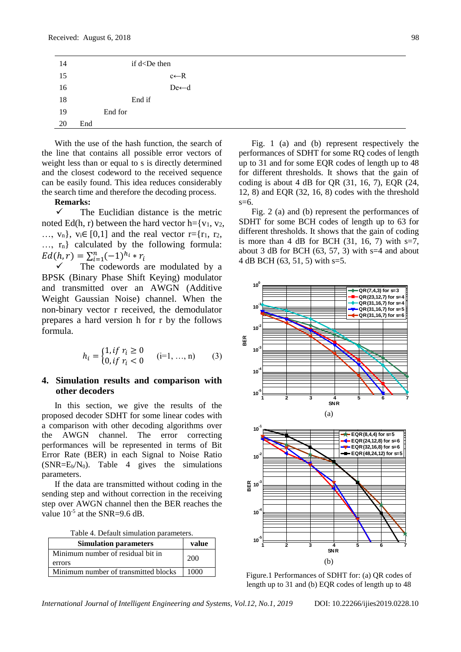| 14 |     | if d <de th="" then<=""><th></th></de> |  |
|----|-----|----------------------------------------|--|
| 15 |     | $c \leftarrow R$                       |  |
| 16 |     | $De\leftarrow d$                       |  |
| 18 |     | End if                                 |  |
| 19 |     | End for                                |  |
| 20 | End |                                        |  |

With the use of the hash function, the search of the line that contains all possible error vectors of weight less than or equal to s is directly determined and the closest codeword to the received sequence can be easily found. This idea reduces considerably the search time and therefore the decoding process.

### **Remarks:**

 $\checkmark$  The Euclidian distance is the metric noted Ed(h, r) between the hard vector h= $\{v_1, v_2,$  $..., v_n$ ,  $v_i \in [0,1]$  and the real vector  $r = \{r_1, r_2, \ldots, r_n\}$ …, rn} calculated by the following formula:  $Ed(h, r) = \sum_{i=1}^{n} (-1)^{h_i} * r_i$ 

 The codewords are modulated by a BPSK (Binary Phase Shift Keying) modulator and transmitted over an AWGN (Additive Weight Gaussian Noise) channel. When the non-binary vector r received, the demodulator prepares a hard version h for r by the follows formula.

$$
h_i = \begin{cases} 1, & if r_i \ge 0 \\ 0, & if r_i < 0 \end{cases} \quad (i=1, \dots, n) \tag{3}
$$

# **4. Simulation results and comparison with other decoders**

In this section, we give the results of the proposed decoder SDHT for some linear codes with a comparison with other decoding algorithms over the AWGN channel. The error correcting performances will be represented in terms of Bit Error Rate (BER) in each Signal to Noise Ratio  $(SNR=E_b/N_0)$ . Table 4 gives the simulations parameters.

If the data are transmitted without coding in the sending step and without correction in the receiving step over AWGN channel then the BER reaches the value  $10^{-5}$  at the SNR=9.6 dB.

| Table 4. Default simulation parameters. |  |
|-----------------------------------------|--|
|-----------------------------------------|--|

| <b>Simulation parameters</b>         | value |
|--------------------------------------|-------|
| Minimum number of residual bit in    | 200   |
| errors                               |       |
| Minimum number of transmitted blocks | 1000  |

Fig. 1 (a) and (b) represent respectively the performances of SDHT for some RQ codes of length up to 31 and for some EQR codes of length up to 48 for different thresholds. It shows that the gain of coding is about 4 dB for OR  $(31, 16, 7)$ , EOR  $(24, 16, 7)$ 12, 8) and EQR (32, 16, 8) codes with the threshold  $s=6$ .

Fig. 2 (a) and (b) represent the performances of SDHT for some BCH codes of length up to 63 for different thresholds. It shows that the gain of coding is more than 4 dB for BCH  $(31, 16, 7)$  with s=7, about 3 dB for BCH (63, 57, 3) with  $s=4$  and about 4 dB BCH (63, 51, 5) with s=5.



Figure.1 Performances of SDHT for: (a) QR codes of length up to 31 and (b) EQR codes of length up to 48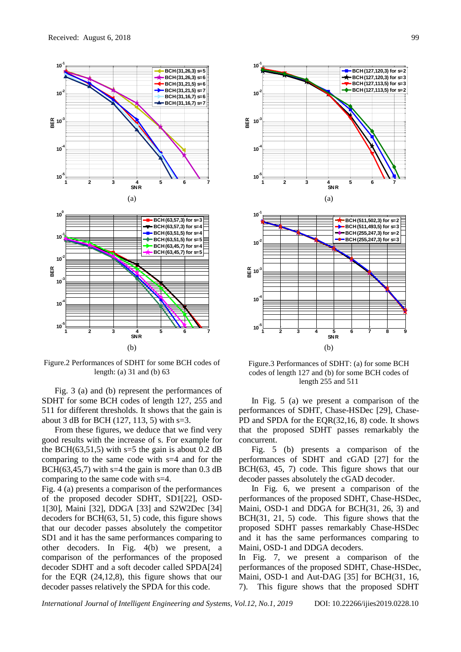

Figure.2 Performances of SDHT for some BCH codes of length: (a) 31 and (b) 63

Fig. 3 (a) and (b) represent the performances of SDHT for some BCH codes of length 127, 255 and 511 for different thresholds. It shows that the gain is about 3 dB for BCH (127, 113, 5) with s=3.

From these figures, we deduce that we find very good results with the increase of s. For example for the BCH(63,51,5) with  $s=5$  the gain is about 0.2 dB comparing to the same code with s=4 and for the BCH( $63,45,7$ ) with s=4 the gain is more than 0.3 dB comparing to the same code with s=4.

Fig. 4 (a) presents a comparison of the performances of the proposed decoder SDHT, SD1[22], OSD-1[30], Maini [32], DDGA [33] and S2W2Dec [34] decoders for BCH(63, 51, 5) code, this figure shows that our decoder passes absolutely the competitor SD1 and it has the same performances comparing to other decoders. In Fig. 4(b) we present, a comparison of the performances of the proposed decoder SDHT and a soft decoder called SPDA[24] for the EQR (24,12,8), this figure shows that our decoder passes relatively the SPDA for this code.



Figure.3 Performances of SDHT: (a) for some BCH codes of length 127 and (b) for some BCH codes of length 255 and 511

In Fig. 5 (a) we present a comparison of the performances of SDHT, Chase-HSDec [29], Chase-PD and SPDA for the EQR(32,16, 8) code. It shows that the proposed SDHT passes remarkably the concurrent.

Fig. 5 (b) presents a comparison of the performances of SDHT and cGAD [27] for the BCH(63, 45, 7) code. This figure shows that our decoder passes absolutely the cGAD decoder.

In Fig. 6, we present a comparison of the performances of the proposed SDHT, Chase-HSDec, Maini, OSD-1 and DDGA for BCH(31, 26, 3) and BCH(31, 21, 5) code. This figure shows that the proposed SDHT passes remarkably Chase-HSDec and it has the same performances comparing to Maini, OSD-1 and DDGA decoders.

In Fig. 7, we present a comparison of the performances of the proposed SDHT, Chase-HSDec, Maini, OSD-1 and Aut-DAG [35] for BCH(31, 16, 7). This figure shows that the proposed SDHT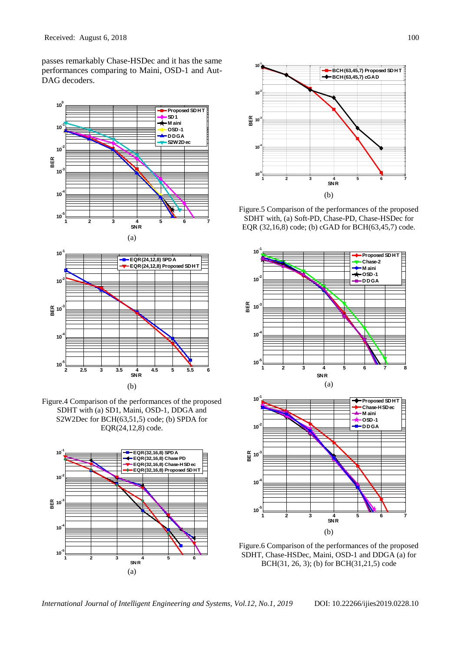passes remarkably Chase-HSDec and it has the same performances comparing to Maini, OSD-1 and Aut-DAG decoders.



Figure.4 Comparison of the performances of the proposed SDHT with (a) SD1, Maini, OSD-1, DDGA and S2W2Dec for BCH(63,51,5) code; (b) SPDA for EQR(24,12,8) code.





Figure.5 Comparison of the performances of the proposed SDHT with, (a) Soft-PD, Chase-PD, Chase-HSDec for EQR (32,16,8) code; (b) cGAD for BCH(63,45,7) code.





Figure.6 Comparison of the performances of the proposed SDHT, Chase-HSDec, Maini, OSD-1 and DDGA (a) for BCH(31, 26, 3); (b) for BCH(31,21,5) code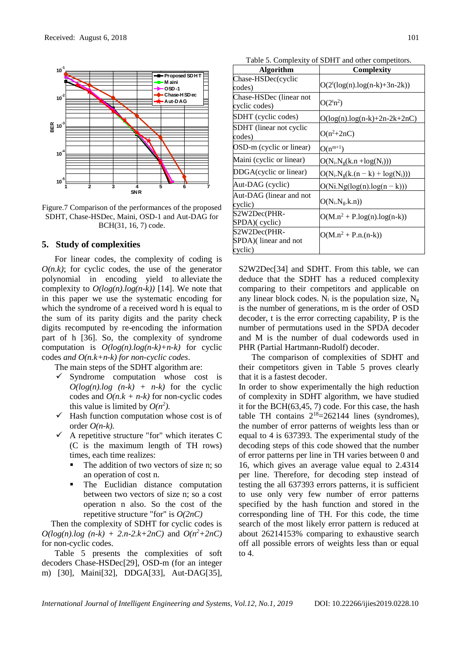

Figure.7 Comparison of the performances of the proposed SDHT, Chase-HSDec, Maini, OSD-1 and Aut-DAG for BCH(31, 16, 7) code.

#### **5. Study of complexities**

For linear codes, the complexity of coding is  $O(n,k)$ ; for cyclic codes, the use of the generator polynomial in encoding yield to alleviate the complexity to  $O(log(n).log(n-k))$  [14]. We note that in this paper we use the systematic encoding for which the syndrome of a received word h is equal to the sum of its parity digits and the parity check digits recomputed by re-encoding the information part of h [36]. So, the complexity of syndrome computation is *O(log(n).log(n-k)+n-k)* for cyclic codes *and O(n.k+n-k) for non-cyclic codes*.

The main steps of the SDHT algorithm are:

- $\checkmark$  Syndrome computation whose cost is  $O(log(n).log (n-k) + n-k)$  for the cyclic codes and  $O(n.k + n-k)$  for non-cyclic codes this value is limited by  $O(n^2)$ .
- $\checkmark$  Hash function computation whose cost is of order *O(n-k).*
- $\checkmark$  A repetitive structure "for" which iterates C (C is the maximum length of TH rows) times, each time realizes:
	- The addition of two vectors of size n; so an operation of cost n.
	- The Euclidian distance computation between two vectors of size n; so a cost operation n also. So the cost of the repetitive structure "for" is *O(2nC)*

Then the complexity of SDHT for cyclic codes is  $O(log(n).log (n-k) + 2.n-2.k+2nC)$  and  $O(n^2+2nC)$ for non-cyclic codes.

Table 5 presents the complexities of soft decoders Chase-HSDec[29], OSD-m (for an integer m) [30], Maini[32], DDGA[33], Aut-DAG[35],

Table 5. Complexity of SDHT and other competitors.

| <b>Algorithm</b>                                | <b>Complexity</b>                           |
|-------------------------------------------------|---------------------------------------------|
| Chase-HSDec(cyclic<br>codes)                    | $O(2^{t}(\log(n) \cdot \log(n-k) + 3n-2k))$ |
| Chase-HSDec (linear not<br>cyclic codes)        | $O(2^{t}n^2)$                               |
| SDHT (cyclic codes)                             | $O(log(n).log(n-k)+2n-2k+2nC)$              |
| SDHT (linear not cyclic<br>codes)               | $O(n^2+2nC)$                                |
| OSD-m (cyclic or linear)                        | $O(n^{m+1})$                                |
| Maini (cyclic or linear)                        | $O(N_i.N_g(k.n + log(N_i)))$                |
| DDGA(cyclic or linear)                          | $O(N_i.N_g(k.(n-k) + log(N_i)))$            |
| Aut-DAG (cyclic)                                | $O(Ni.Ng(log(n).log(n-k)))$                 |
| Aut-DAG (linear and not<br>cyclic)              | $O(N_i.N_g.k.n))$                           |
| S2W2Dec(PHR-<br>SPDA)(cyclic)                   | $O(M.n^2 + P.log(n).log(n-k))$              |
| S2W2Dec(PHR-<br>SPDA)(linear and not<br>cyclic) | $O(M.n^2 + P.n.(n-k))$                      |

S2W2Dec<sup>[34]</sup> and SDHT. From this table, we can deduce that the SDHT has a reduced complexity comparing to their competitors and applicable on any linear block codes. N<sub>i</sub> is the population size, N<sub>g</sub> is the number of generations, m is the order of OSD decoder, t is the error correcting capability, P is the number of permutations used in the SPDA decoder and M is the number of dual codewords used in PHR (Partial Hartmann-Rudolf) decoder.

The comparison of complexities of SDHT and their competitors given in Table 5 proves clearly that it is a fastest decoder.

In order to show experimentally the high reduction of complexity in SDHT algorithm, we have studied it for the BCH(63,45, 7) code. For this case, the hash table TH contains  $2^{18} = 262144$  lines (syndromes), the number of error patterns of weights less than or equal to 4 is 637393. The experimental study of the decoding steps of this code showed that the number of error patterns per line in TH varies between 0 and 16, which gives an average value equal to 2.4314 per line. Therefore, for decoding step instead of testing the all 637393 errors patterns, it is sufficient to use only very few number of error patterns specified by the hash function and stored in the corresponding line of TH. For this code, the time search of the most likely error pattern is reduced at about 26214153% comparing to exhaustive search off all possible errors of weights less than or equal to 4.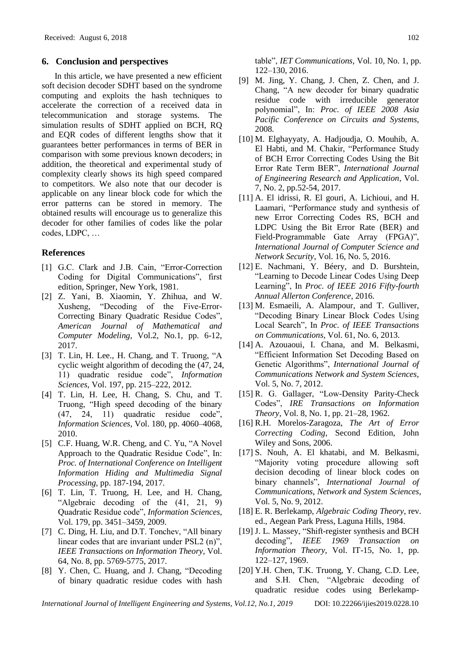# **6. Conclusion and perspectives**

In this article, we have presented a new efficient soft decision decoder SDHT based on the syndrome computing and exploits the hash techniques to accelerate the correction of a received data in telecommunication and storage systems. The simulation results of SDHT applied on BCH, RQ and EQR codes of different lengths show that it guarantees better performances in terms of BER in comparison with some previous known decoders; in addition, the theoretical and experimental study of complexity clearly shows its high speed compared to competitors. We also note that our decoder is applicable on any linear block code for which the error patterns can be stored in memory. The obtained results will encourage us to generalize this decoder for other families of codes like the polar codes, LDPC, …

#### **References**

- [1] G.C. Clark and J.B. Cain, "Error-Correction Coding for Digital Communications", first edition, Springer, New York, 1981.
- [2] Z. Yani, B. Xiaomin, Y. Zhihua, and W. Xusheng, "Decoding of the Five-Error-Correcting Binary Quadratic Residue Codes", *American Journal of Mathematical and Computer Modeling*, Vol.2, No.1, pp. 6-12, 2017.
- [3] T. Lin, H. Lee., H. Chang, and T. Truong, "A cyclic weight algorithm of decoding the (47, 24, 11) quadratic residue code", *Information Sciences*, Vol. 197, pp. 215–222, 2012.
- [4] T. Lin, H. Lee, H. Chang, S. Chu, and T. Truong, "High speed decoding of the binary (47, 24, 11) quadratic residue code", *Information Sciences*, Vol. 180, pp. 4060–4068, 2010.
- [5] C.F. Huang, W.R. Cheng, and C. Yu, "A Novel Approach to the Quadratic Residue Code", In: *Proc. of International Conference on Intelligent Information Hiding and Multimedia Signal Processing*, pp. 187-194, 2017.
- [6] T. Lin, T. Truong, H. Lee, and H. Chang, "Algebraic decoding of the (41, 21, 9) Quadratic Residue code", *Information Sciences,*  Vol. 179, pp. 3451–3459, 2009.
- [7] C. Ding, H. Liu, and D.T. Tonchev, "All binary linear codes that are invariant under PSL2 (n)", *IEEE Transactions on Information Theory,* Vol. 64, No. 8, pp. 5769-5775, 2017.
- [8] Y. Chen, C. Huang, and J. Chang, "Decoding of binary quadratic residue codes with hash

table", *IET Communications,* Vol. 10, No. 1, pp. 122–130, 2016.

- [9] M. [Jing,](http://ieeexplore.ieee.org/search/searchresult.jsp?searchWithin=%22Authors%22:.QT.Ming-Haw%20Jing.QT.&newsearch=true) Y. [Chang,](http://ieeexplore.ieee.org/search/searchresult.jsp?searchWithin=%22Authors%22:.QT.Yaotsu%20Chang.QT.&newsearch=true) J. [Chen,](http://ieeexplore.ieee.org/search/searchresult.jsp?searchWithin=%22Authors%22:.QT.Jian-Hong%20Chen.QT.&newsearch=true) Z. [Chen,](http://ieeexplore.ieee.org/search/searchresult.jsp?searchWithin=%22Authors%22:.QT.Zih-Heng%20Chen.QT.&newsearch=true) and J. [Chang,](http://ieeexplore.ieee.org/search/searchresult.jsp?searchWithin=%22Authors%22:.QT.Jia-Hao%20Chang.QT.&newsearch=true) "A new decoder for binary quadratic residue code with irreducible generator polynomial", In: *Proc. of IEEE 2008 Asia Pacific Conference on Circuits and Systems*, 2008*.*
- [10] M. Elghayyaty, A. Hadjoudja, O. Mouhib, A. El Habti, and M. Chakir, "Performance Study of BCH Error Correcting Codes Using the Bit Error Rate Term BER", *International Journal of Engineering Research and Application*, Vol. 7, No. 2, pp.52-54, 2017.
- [11] A. El idrissi, R. El gouri, A. Lichioui, and H. Laamari, "Performance study and synthesis of new Error Correcting Codes RS, BCH and LDPC Using the Bit Error Rate (BER) and Field-Programmable Gate Array (FPGA)", *International Journal of Computer Science and Network Security*, Vol. 16, No. 5, 2016.
- [12] E. Nachmani, Y. Béery, and D. Burshtein, "Learning to Decode Linear Codes Using Deep Learning", In *Proc. of IEEE 2016 Fifty-fourth Annual Allerton Conference*, 2016.
- [13] M. Esmaeili, A. Alampour, and T. Gulliver, "Decoding Binary Linear Block Codes Using Local Search", In *Proc. of IEEE Transactions on Communications*, Vol. 61, No. 6, 2013.
- [14] A. Azouaoui, I. Chana, and M. Belkasmi, "Efficient Information Set Decoding Based on Genetic Algorithms", *International Journal of Communications Network and System Sciences,*  Vol. 5, No. 7, 2012.
- [15] R. G. Gallager, "Low-Density Parity-Check Codes", *IRE Transactions on Information Theory*, Vol. 8, No. 1, pp. 21–28, 1962.
- [16] R.H. Morelos-Zaragoza, *The Art of Error Correcting Coding*, Second Edition, John Wiley and Sons, 2006.
- [17] S. Nouh, A. El khatabi, and M. Belkasmi, "Majority voting procedure allowing soft decision decoding of linear block codes on binary channels", *International Journal of Communications, Network and System Sciences*, Vol. 5, No. 9, 2012.
- [18] E. R. Berlekamp, *Algebraic Coding Theory*, rev. ed., Aegean Park Press, Laguna Hills, 1984.
- [19] J. L. [Massey,](http://en.wikipedia.org/wiki/James_Massey) "Shift-register synthesis and BCH decoding", *IEEE* 1969 Transaction *Information Theory,* Vol. IT-15, No. 1, pp. 122–127, 1969.
- [20] Y.H. Chen, T.K. Truong, Y. Chang, C.D. Lee, and S.H. Chen, "Algebraic decoding of quadratic residue codes using Berlekamp-